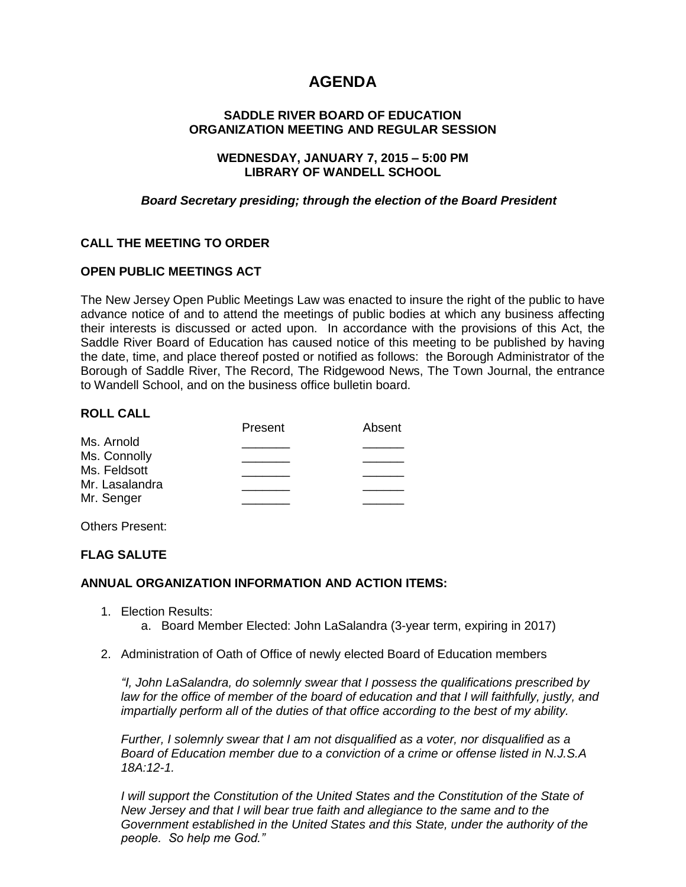# **AGENDA**

## **SADDLE RIVER BOARD OF EDUCATION ORGANIZATION MEETING AND REGULAR SESSION**

## **WEDNESDAY, JANUARY 7, 2015 – 5:00 PM LIBRARY OF WANDELL SCHOOL**

## *Board Secretary presiding; through the election of the Board President*

# **CALL THE MEETING TO ORDER**

# **OPEN PUBLIC MEETINGS ACT**

The New Jersey Open Public Meetings Law was enacted to insure the right of the public to have advance notice of and to attend the meetings of public bodies at which any business affecting their interests is discussed or acted upon. In accordance with the provisions of this Act, the Saddle River Board of Education has caused notice of this meeting to be published by having the date, time, and place thereof posted or notified as follows: the Borough Administrator of the Borough of Saddle River, The Record, The Ridgewood News, The Town Journal, the entrance to Wandell School, and on the business office bulletin board.

## **ROLL CALL**

| Absent |
|--------|
|        |
|        |
|        |
|        |
|        |
|        |

Others Present:

# **FLAG SALUTE**

#### **ANNUAL ORGANIZATION INFORMATION AND ACTION ITEMS:**

- 1. Election Results: a. Board Member Elected: John LaSalandra (3-year term, expiring in 2017)
- 2. Administration of Oath of Office of newly elected Board of Education members

*"I, John LaSalandra, do solemnly swear that I possess the qualifications prescribed by law for the office of member of the board of education and that I will faithfully, justly, and impartially perform all of the duties of that office according to the best of my ability.* 

*Further, I solemnly swear that I am not disqualified as a voter, nor disqualified as a Board of Education member due to a conviction of a crime or offense listed in N.J.S.A 18A:12-1.*

*I will support the Constitution of the United States and the Constitution of the State of New Jersey and that I will bear true faith and allegiance to the same and to the Government established in the United States and this State, under the authority of the people. So help me God."*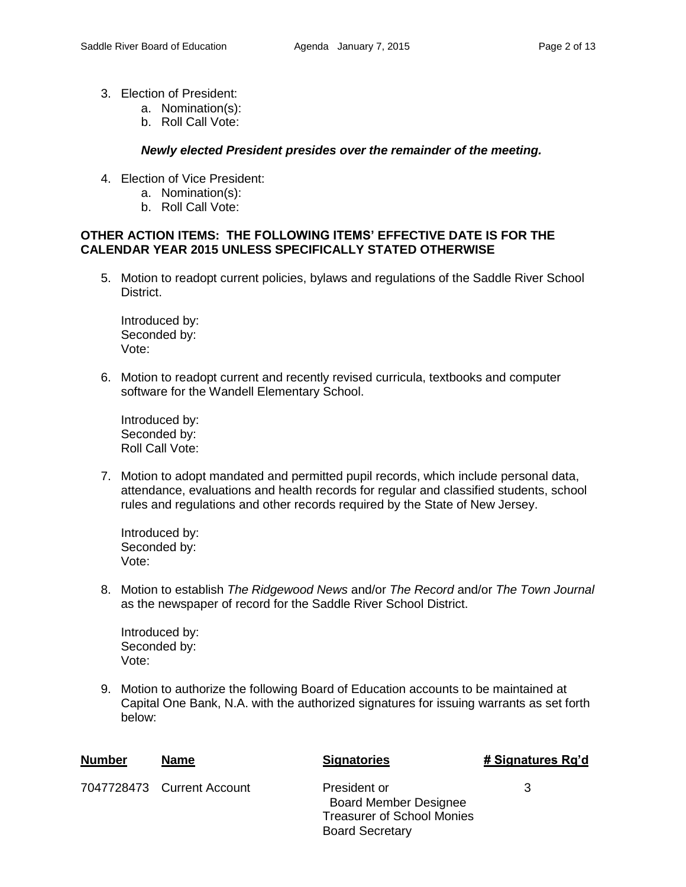- 3. Election of President:
	- a. Nomination(s):
	- b. Roll Call Vote:

## *Newly elected President presides over the remainder of the meeting.*

- 4. Election of Vice President:
	- a. Nomination(s):
	- b. Roll Call Vote:

## **OTHER ACTION ITEMS: THE FOLLOWING ITEMS' EFFECTIVE DATE IS FOR THE CALENDAR YEAR 2015 UNLESS SPECIFICALLY STATED OTHERWISE**

5. Motion to readopt current policies, bylaws and regulations of the Saddle River School District.

Introduced by: Seconded by: Vote:

6. Motion to readopt current and recently revised curricula, textbooks and computer software for the Wandell Elementary School.

Introduced by: Seconded by: Roll Call Vote:

7. Motion to adopt mandated and permitted pupil records, which include personal data, attendance, evaluations and health records for regular and classified students, school rules and regulations and other records required by the State of New Jersey.

Introduced by: Seconded by: Vote:

8. Motion to establish *The Ridgewood News* and/or *The Record* and/or *The Town Journal* as the newspaper of record for the Saddle River School District.

Introduced by: Seconded by: Vote:

9. Motion to authorize the following Board of Education accounts to be maintained at Capital One Bank, N.A. with the authorized signatures for issuing warrants as set forth below:

| Number | <b>Name</b>                | <b>Signatories</b>                                                                                          | # Signatures Rq'd |
|--------|----------------------------|-------------------------------------------------------------------------------------------------------------|-------------------|
|        | 7047728473 Current Account | President or<br><b>Board Member Designee</b><br><b>Treasurer of School Monies</b><br><b>Board Secretary</b> | 3                 |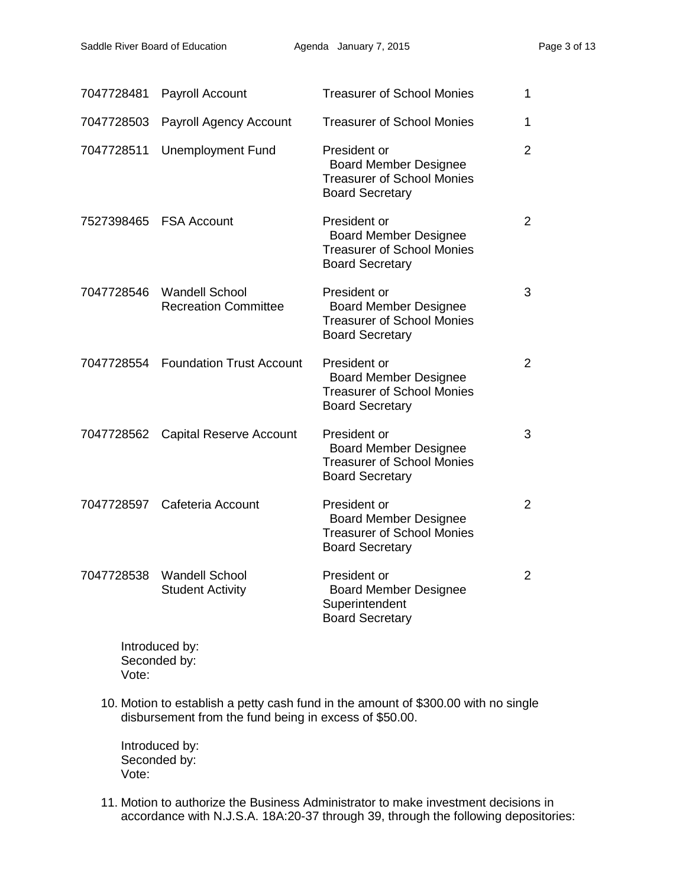| 7047728481 | Payroll Account                                      | <b>Treasurer of School Monies</b>                                                                           | 1              |
|------------|------------------------------------------------------|-------------------------------------------------------------------------------------------------------------|----------------|
| 7047728503 | Payroll Agency Account                               | <b>Treasurer of School Monies</b>                                                                           | 1              |
| 7047728511 | <b>Unemployment Fund</b>                             | President or<br><b>Board Member Designee</b><br><b>Treasurer of School Monies</b><br><b>Board Secretary</b> | $\overline{2}$ |
|            | 7527398465 FSA Account                               | President or<br><b>Board Member Designee</b><br><b>Treasurer of School Monies</b><br><b>Board Secretary</b> | $\overline{2}$ |
| 7047728546 | <b>Wandell School</b><br><b>Recreation Committee</b> | President or<br><b>Board Member Designee</b><br><b>Treasurer of School Monies</b><br><b>Board Secretary</b> | 3              |
|            | 7047728554 Foundation Trust Account                  | President or<br><b>Board Member Designee</b><br><b>Treasurer of School Monies</b><br><b>Board Secretary</b> | $\overline{2}$ |
| 7047728562 | <b>Capital Reserve Account</b>                       | President or<br><b>Board Member Designee</b><br><b>Treasurer of School Monies</b><br><b>Board Secretary</b> | 3              |
|            | 7047728597 Cafeteria Account                         | President or<br><b>Board Member Designee</b><br><b>Treasurer of School Monies</b><br><b>Board Secretary</b> | $\overline{2}$ |
| 7047728538 | <b>Wandell School</b><br><b>Student Activity</b>     | President or<br><b>Board Member Designee</b><br>Superintendent<br><b>Board Secretary</b>                    | $\overline{2}$ |
|            | وروما المتمتم والمتمسك مرات                          |                                                                                                             |                |

Introduced by: Seconded by: Vote:

10. Motion to establish a petty cash fund in the amount of \$300.00 with no single disbursement from the fund being in excess of \$50.00.

Introduced by: Seconded by: Vote:

11. Motion to authorize the Business Administrator to make investment decisions in accordance with N.J.S.A. 18A:20-37 through 39, through the following depositories: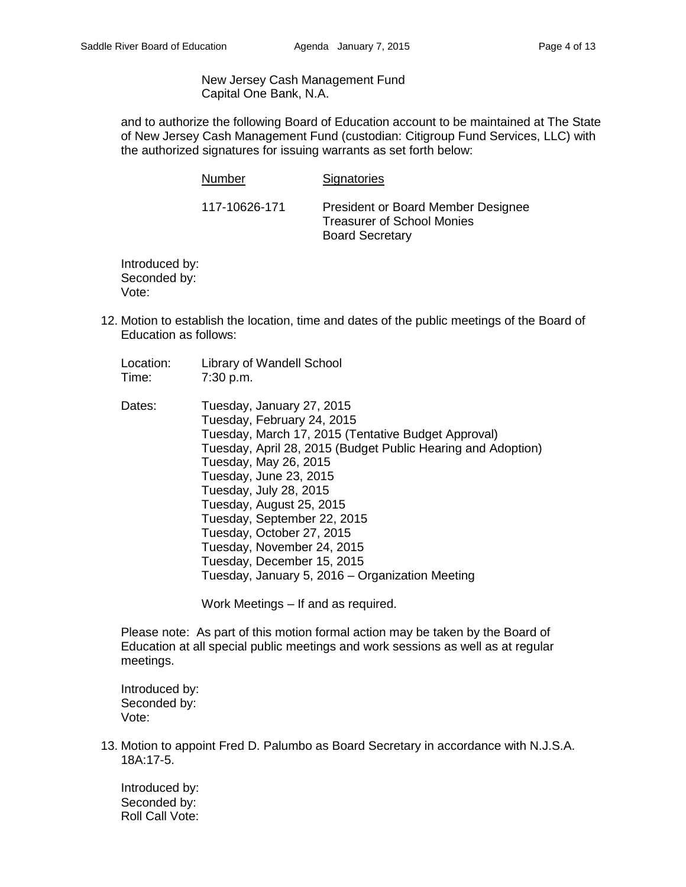New Jersey Cash Management Fund Capital One Bank, N.A.

and to authorize the following Board of Education account to be maintained at The State of New Jersey Cash Management Fund (custodian: Citigroup Fund Services, LLC) with the authorized signatures for issuing warrants as set forth below:

| Number        | Signatories                                                                                       |
|---------------|---------------------------------------------------------------------------------------------------|
| 117-10626-171 | President or Board Member Designee<br><b>Treasurer of School Monies</b><br><b>Board Secretary</b> |

Introduced by: Seconded by: Vote:

- 12. Motion to establish the location, time and dates of the public meetings of the Board of Education as follows:
	- Location: Library of Wandell School Time: 7:30 p.m.
	- Dates: Tuesday, January 27, 2015 Tuesday, February 24, 2015 Tuesday, March 17, 2015 (Tentative Budget Approval) Tuesday, April 28, 2015 (Budget Public Hearing and Adoption) Tuesday, May 26, 2015 Tuesday, June 23, 2015 Tuesday, July 28, 2015 Tuesday, August 25, 2015 Tuesday, September 22, 2015 Tuesday, October 27, 2015 Tuesday, November 24, 2015 Tuesday, December 15, 2015 Tuesday, January 5, 2016 – Organization Meeting

Work Meetings – If and as required.

Please note: As part of this motion formal action may be taken by the Board of Education at all special public meetings and work sessions as well as at regular meetings.

Introduced by: Seconded by: Vote:

13. Motion to appoint Fred D. Palumbo as Board Secretary in accordance with N.J.S.A. 18A:17-5.

Introduced by: Seconded by: Roll Call Vote: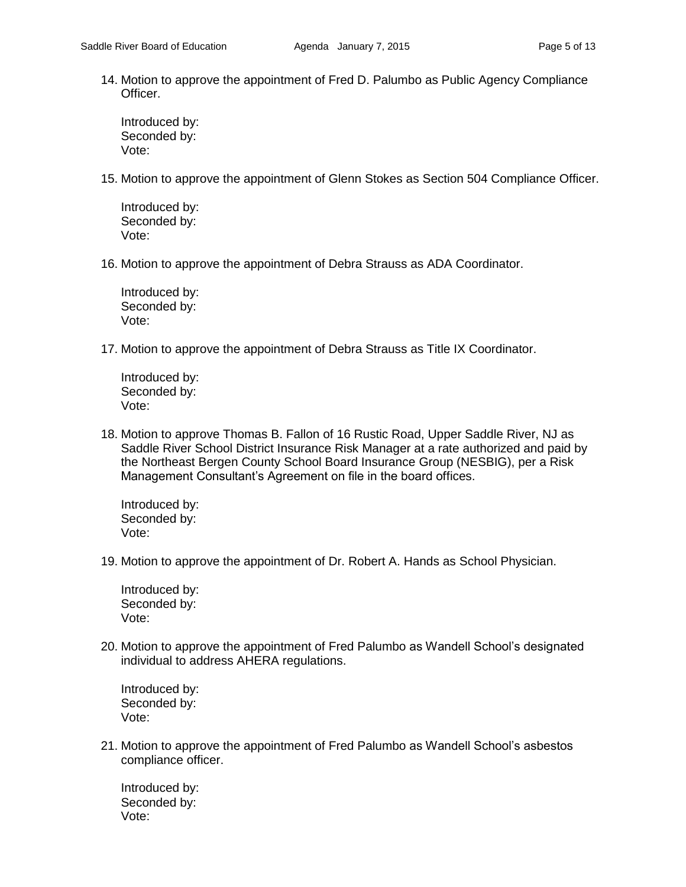14. Motion to approve the appointment of Fred D. Palumbo as Public Agency Compliance Officer.

Introduced by: Seconded by: Vote:

15. Motion to approve the appointment of Glenn Stokes as Section 504 Compliance Officer.

Introduced by: Seconded by: Vote:

16. Motion to approve the appointment of Debra Strauss as ADA Coordinator.

Introduced by: Seconded by: Vote:

17. Motion to approve the appointment of Debra Strauss as Title IX Coordinator.

Introduced by: Seconded by: Vote:

18. Motion to approve Thomas B. Fallon of 16 Rustic Road, Upper Saddle River, NJ as Saddle River School District Insurance Risk Manager at a rate authorized and paid by the Northeast Bergen County School Board Insurance Group (NESBIG), per a Risk Management Consultant's Agreement on file in the board offices.

Introduced by: Seconded by: Vote:

19. Motion to approve the appointment of Dr. Robert A. Hands as School Physician.

Introduced by: Seconded by: Vote:

20. Motion to approve the appointment of Fred Palumbo as Wandell School's designated individual to address AHERA regulations.

Introduced by: Seconded by: Vote:

21. Motion to approve the appointment of Fred Palumbo as Wandell School's asbestos compliance officer.

Introduced by: Seconded by: Vote: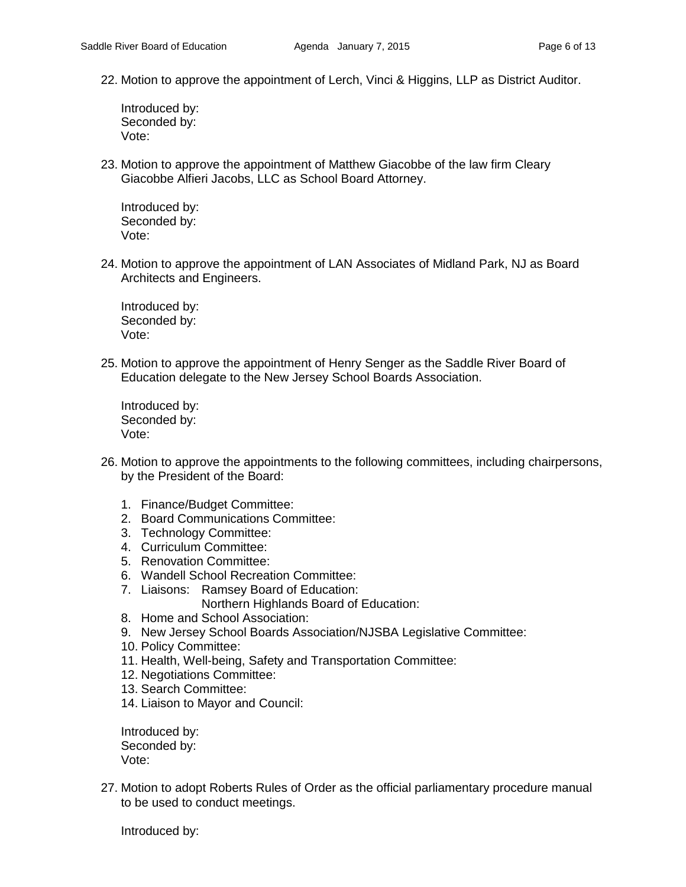22. Motion to approve the appointment of Lerch, Vinci & Higgins, LLP as District Auditor.

Introduced by: Seconded by: Vote:

23. Motion to approve the appointment of Matthew Giacobbe of the law firm Cleary Giacobbe Alfieri Jacobs, LLC as School Board Attorney.

Introduced by: Seconded by: Vote:

24. Motion to approve the appointment of LAN Associates of Midland Park, NJ as Board Architects and Engineers.

Introduced by: Seconded by: Vote:

25. Motion to approve the appointment of Henry Senger as the Saddle River Board of Education delegate to the New Jersey School Boards Association.

Introduced by: Seconded by: Vote:

- 26. Motion to approve the appointments to the following committees, including chairpersons, by the President of the Board:
	- 1. Finance/Budget Committee:
	- 2. Board Communications Committee:
	- 3. Technology Committee:
	- 4. Curriculum Committee:
	- 5. Renovation Committee:
	- 6. Wandell School Recreation Committee:
	- 7. Liaisons: Ramsey Board of Education:
		- Northern Highlands Board of Education:
	- 8. Home and School Association:
	- 9. New Jersey School Boards Association/NJSBA Legislative Committee:
	- 10. Policy Committee:
	- 11. Health, Well-being, Safety and Transportation Committee:
	- 12. Negotiations Committee:
	- 13. Search Committee:
	- 14. Liaison to Mayor and Council:

Introduced by: Seconded by: Vote:

27. Motion to adopt Roberts Rules of Order as the official parliamentary procedure manual to be used to conduct meetings.

Introduced by: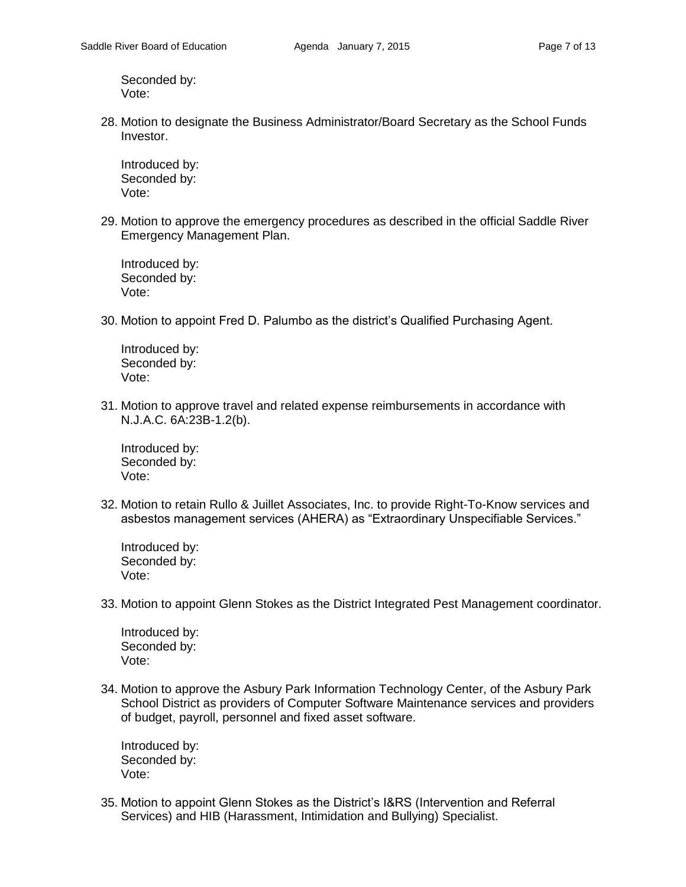Seconded by: Vote:

28. Motion to designate the Business Administrator/Board Secretary as the School Funds Investor.

Introduced by: Seconded by: Vote:

29. Motion to approve the emergency procedures as described in the official Saddle River Emergency Management Plan.

Introduced by: Seconded by: Vote:

30. Motion to appoint Fred D. Palumbo as the district's Qualified Purchasing Agent.

Introduced by: Seconded by: Vote:

31. Motion to approve travel and related expense reimbursements in accordance with N.J.A.C. 6A:23B-1.2(b).

Introduced by: Seconded by: Vote:

32. Motion to retain Rullo & Juillet Associates, Inc. to provide Right-To-Know services and asbestos management services (AHERA) as "Extraordinary Unspecifiable Services."

Introduced by: Seconded by: Vote:

33. Motion to appoint Glenn Stokes as the District Integrated Pest Management coordinator.

Introduced by: Seconded by: Vote:

34. Motion to approve the Asbury Park Information Technology Center, of the Asbury Park School District as providers of Computer Software Maintenance services and providers of budget, payroll, personnel and fixed asset software.

Introduced by: Seconded by: Vote:

35. Motion to appoint Glenn Stokes as the District's I&RS (Intervention and Referral Services) and HIB (Harassment, Intimidation and Bullying) Specialist.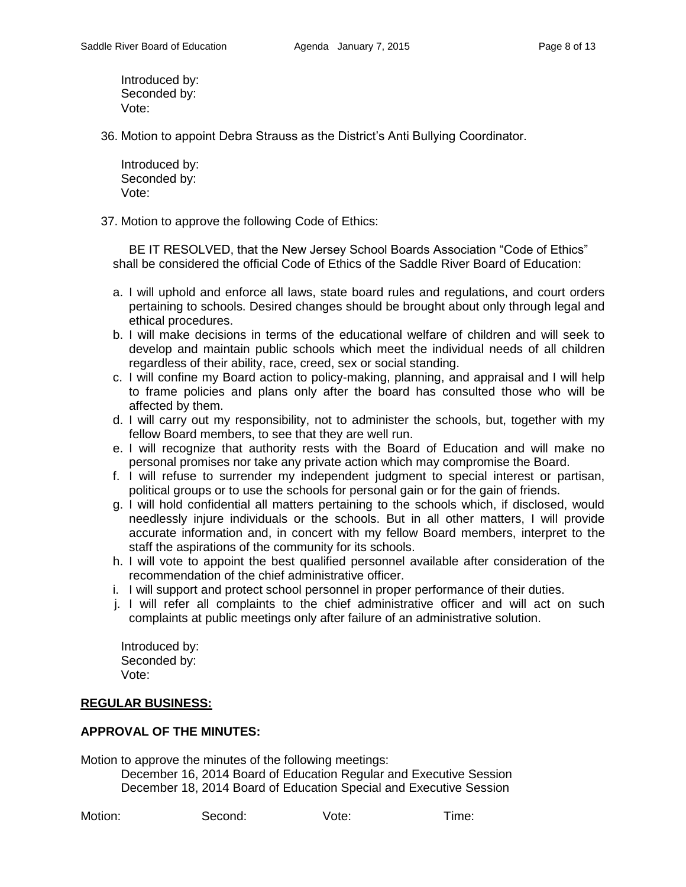Introduced by: Seconded by: Vote:

36. Motion to appoint Debra Strauss as the District's Anti Bullying Coordinator.

Introduced by: Seconded by: Vote:

37. Motion to approve the following Code of Ethics:

BE IT RESOLVED, that the New Jersey School Boards Association "Code of Ethics" shall be considered the official Code of Ethics of the Saddle River Board of Education:

- a. I will uphold and enforce all laws, state board rules and regulations, and court orders pertaining to schools. Desired changes should be brought about only through legal and ethical procedures.
- b. I will make decisions in terms of the educational welfare of children and will seek to develop and maintain public schools which meet the individual needs of all children regardless of their ability, race, creed, sex or social standing.
- c. I will confine my Board action to policy-making, planning, and appraisal and I will help to frame policies and plans only after the board has consulted those who will be affected by them.
- d. I will carry out my responsibility, not to administer the schools, but, together with my fellow Board members, to see that they are well run.
- e. I will recognize that authority rests with the Board of Education and will make no personal promises nor take any private action which may compromise the Board.
- f. I will refuse to surrender my independent judgment to special interest or partisan, political groups or to use the schools for personal gain or for the gain of friends.
- g. I will hold confidential all matters pertaining to the schools which, if disclosed, would needlessly injure individuals or the schools. But in all other matters, I will provide accurate information and, in concert with my fellow Board members, interpret to the staff the aspirations of the community for its schools.
- h. I will vote to appoint the best qualified personnel available after consideration of the recommendation of the chief administrative officer.
- i. I will support and protect school personnel in proper performance of their duties.
- j. I will refer all complaints to the chief administrative officer and will act on such complaints at public meetings only after failure of an administrative solution.

Introduced by: Seconded by: Vote:

#### **REGULAR BUSINESS:**

#### **APPROVAL OF THE MINUTES:**

Motion to approve the minutes of the following meetings:

December 16, 2014 Board of Education Regular and Executive Session December 18, 2014 Board of Education Special and Executive Session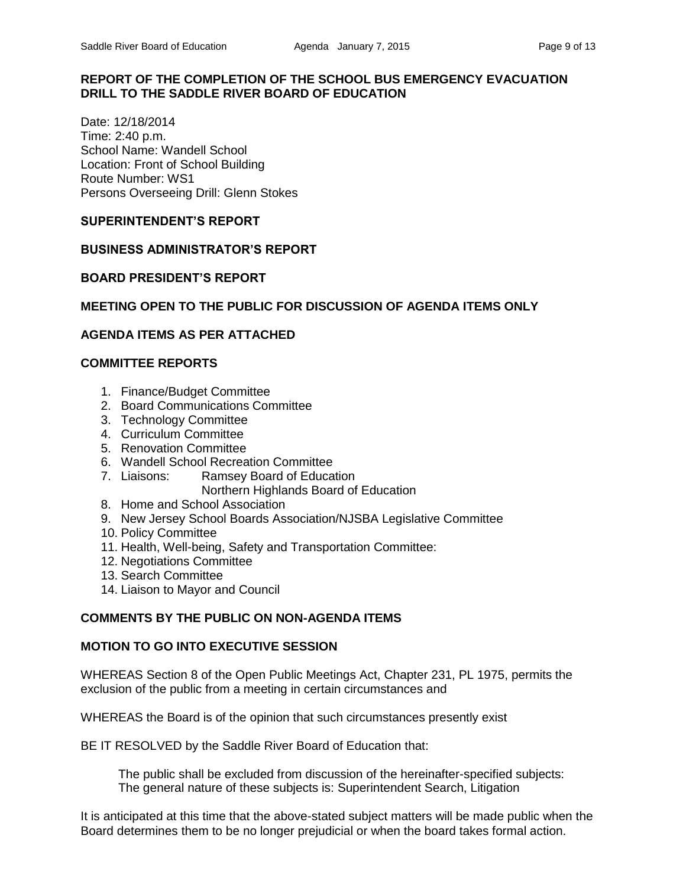## **REPORT OF THE COMPLETION OF THE SCHOOL BUS EMERGENCY EVACUATION DRILL TO THE SADDLE RIVER BOARD OF EDUCATION**

Date: 12/18/2014 Time: 2:40 p.m. School Name: Wandell School Location: Front of School Building Route Number: WS1 Persons Overseeing Drill: Glenn Stokes

## **SUPERINTENDENT'S REPORT**

## **BUSINESS ADMINISTRATOR'S REPORT**

## **BOARD PRESIDENT'S REPORT**

## **MEETING OPEN TO THE PUBLIC FOR DISCUSSION OF AGENDA ITEMS ONLY**

## **AGENDA ITEMS AS PER ATTACHED**

## **COMMITTEE REPORTS**

- 1. Finance/Budget Committee
- 2. Board Communications Committee
- 3. Technology Committee
- 4. Curriculum Committee
- 5. Renovation Committee
- 6. Wandell School Recreation Committee
- 7. Liaisons: Ramsey Board of Education Northern Highlands Board of Education
- 8. Home and School Association
- 9. New Jersey School Boards Association/NJSBA Legislative Committee
- 10. Policy Committee
- 11. Health, Well-being, Safety and Transportation Committee:
- 12. Negotiations Committee
- 13. Search Committee
- 14. Liaison to Mayor and Council

# **COMMENTS BY THE PUBLIC ON NON-AGENDA ITEMS**

#### **MOTION TO GO INTO EXECUTIVE SESSION**

WHEREAS Section 8 of the Open Public Meetings Act, Chapter 231, PL 1975, permits the exclusion of the public from a meeting in certain circumstances and

WHEREAS the Board is of the opinion that such circumstances presently exist

BE IT RESOLVED by the Saddle River Board of Education that:

 The public shall be excluded from discussion of the hereinafter-specified subjects: The general nature of these subjects is: Superintendent Search, Litigation

It is anticipated at this time that the above-stated subject matters will be made public when the Board determines them to be no longer prejudicial or when the board takes formal action.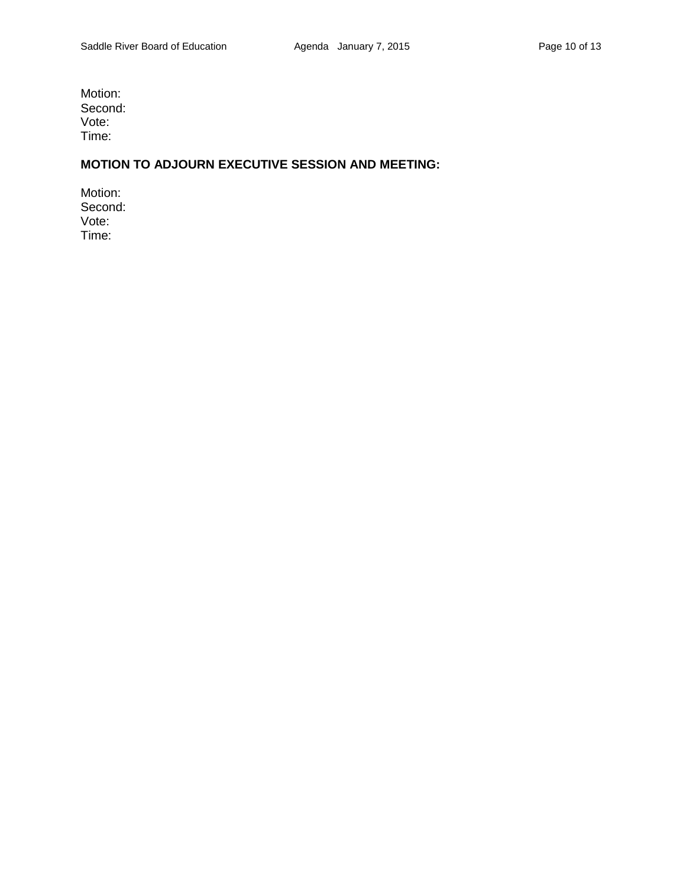Motion: Second: Vote: Time:

# **MOTION TO ADJOURN EXECUTIVE SESSION AND MEETING:**

Motion: Second: Vote: Time: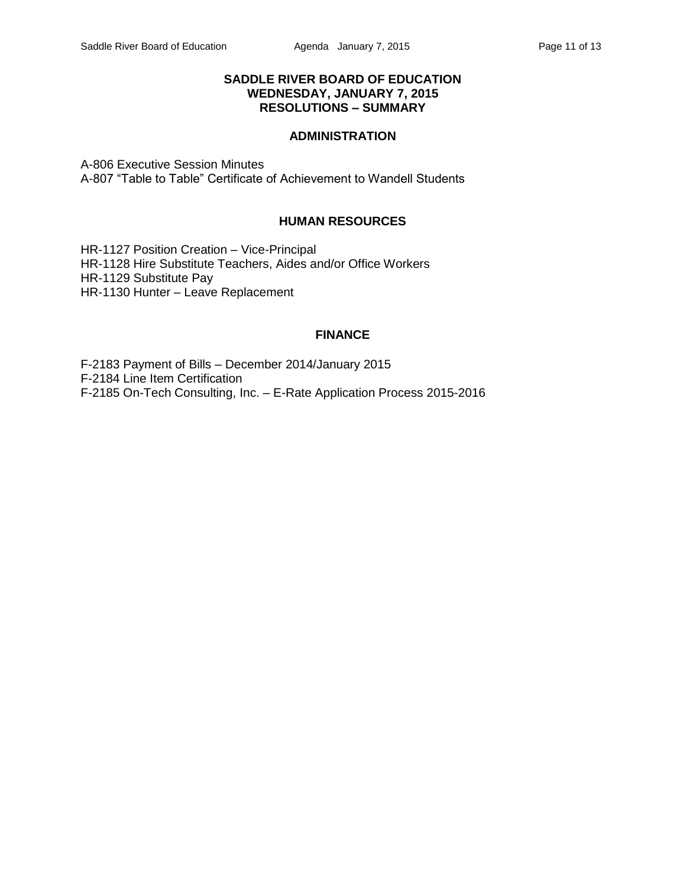## **SADDLE RIVER BOARD OF EDUCATION WEDNESDAY, JANUARY 7, 2015 RESOLUTIONS – SUMMARY**

# **ADMINISTRATION**

A-806 Executive Session Minutes A-807 "Table to Table" Certificate of Achievement to Wandell Students

#### **HUMAN RESOURCES**

HR-1127 Position Creation – Vice-Principal HR-1128 Hire Substitute Teachers, Aides and/or Office Workers HR-1129 Substitute Pay HR-1130 Hunter – Leave Replacement

#### **FINANCE**

F-2183 Payment of Bills – December 2014/January 2015 F-2184 Line Item Certification F-2185 On-Tech Consulting, Inc. – E-Rate Application Process 2015-2016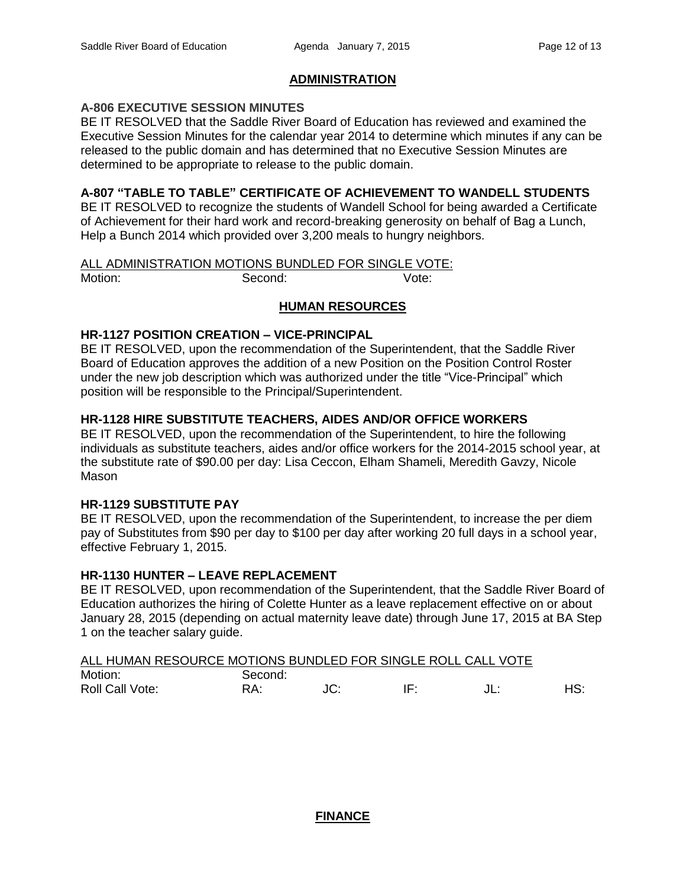## **ADMINISTRATION**

## **A-806 EXECUTIVE SESSION MINUTES**

BE IT RESOLVED that the Saddle River Board of Education has reviewed and examined the Executive Session Minutes for the calendar year 2014 to determine which minutes if any can be released to the public domain and has determined that no Executive Session Minutes are determined to be appropriate to release to the public domain.

## **A-807 "TABLE TO TABLE" CERTIFICATE OF ACHIEVEMENT TO WANDELL STUDENTS**

BE IT RESOLVED to recognize the students of Wandell School for being awarded a Certificate of Achievement for their hard work and record-breaking generosity on behalf of Bag a Lunch, Help a Bunch 2014 which provided over 3,200 meals to hungry neighbors.

# ALL ADMINISTRATION MOTIONS BUNDLED FOR SINGLE VOTE: Motion: Second: Second: Vote:

## **HUMAN RESOURCES**

#### **HR-1127 POSITION CREATION – VICE-PRINCIPAL**

BE IT RESOLVED, upon the recommendation of the Superintendent, that the Saddle River Board of Education approves the addition of a new Position on the Position Control Roster under the new job description which was authorized under the title "Vice-Principal" which position will be responsible to the Principal/Superintendent.

## **HR-1128 HIRE SUBSTITUTE TEACHERS, AIDES AND/OR OFFICE WORKERS**

BE IT RESOLVED, upon the recommendation of the Superintendent, to hire the following individuals as substitute teachers, aides and/or office workers for the 2014-2015 school year, at the substitute rate of \$90.00 per day: Lisa Ceccon, Elham Shameli, Meredith Gavzy, Nicole Mason

#### **HR-1129 SUBSTITUTE PAY**

BE IT RESOLVED, upon the recommendation of the Superintendent, to increase the per diem pay of Substitutes from \$90 per day to \$100 per day after working 20 full days in a school year, effective February 1, 2015.

#### **HR-1130 HUNTER – LEAVE REPLACEMENT**

BE IT RESOLVED, upon recommendation of the Superintendent, that the Saddle River Board of Education authorizes the hiring of Colette Hunter as a leave replacement effective on or about January 28, 2015 (depending on actual maternity leave date) through June 17, 2015 at BA Step 1 on the teacher salary guide.

| ALL HUMAN RESOURCE MOTIONS BUNDLED FOR SINGLE ROLL CALL VOTE |         |  |     |
|--------------------------------------------------------------|---------|--|-----|
| Motion:                                                      | Second: |  |     |
| Roll Call Vote:                                              | RA:     |  | HS: |

# **FINANCE**